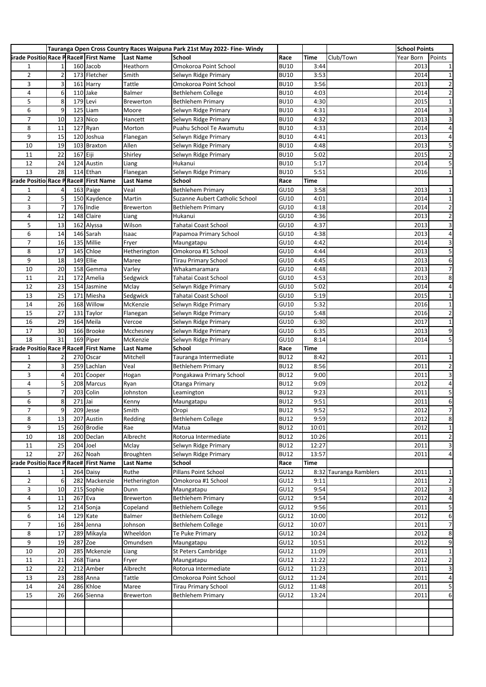|                                              |                | Tauranga Open Cross Country Races Waipuna Park 21st May 2022- Fine- Windy |                         |                               |                                        |                     |                      |                          | <b>School Points</b> |                                |
|----------------------------------------------|----------------|---------------------------------------------------------------------------|-------------------------|-------------------------------|----------------------------------------|---------------------|----------------------|--------------------------|----------------------|--------------------------------|
| <b>Srade Positio Race P Race# First Name</b> |                |                                                                           |                         | <b>Last Name</b>              | <b>School</b>                          | Race                | Time                 | Club/Town                | Year Born            | Points                         |
| 1                                            |                |                                                                           | 160 Jacob               | Heathorn                      | Omokoroa Point School                  | <b>BU10</b>         | 3:44                 |                          | 2013                 | $\mathbf{1}$                   |
| $\overline{2}$                               | $\overline{2}$ |                                                                           | 173 Fletcher            | Smith                         | Selwyn Ridge Primary                   | <b>BU10</b>         | 3:53                 |                          | 2014                 | $1\vert$                       |
| 3                                            | 3              |                                                                           | 161 Harry               | Tattle                        | Omokoroa Point School                  | <b>BU10</b>         | 3:56                 |                          | 2013                 | $\mathbf{2}$                   |
| 4                                            | 6              |                                                                           | 110 Jake                | Balmer                        | Bethlehem College                      | <b>BU10</b>         | 4:03                 |                          | 2014                 | $\overline{2}$                 |
| 5                                            | 8              |                                                                           | 179 Levi                | <b>Brewerton</b>              | <b>Bethlehem Primary</b>               | <b>BU10</b>         | 4:30                 |                          | 2015                 | $\mathbf 1$                    |
| 6                                            | 9              |                                                                           | 125 Liam                | Moore                         | Selwyn Ridge Primary                   | <b>BU10</b>         | 4:31                 |                          | 2014                 | 3                              |
| $\overline{7}$                               | 10             | 123                                                                       | <b>Nico</b>             | Hancett                       | Selwyn Ridge Primary                   | <b>BU10</b>         | 4:32                 |                          | 2013                 | 3                              |
| 8                                            | 11             | 127                                                                       | Ryan                    | Morton                        | Puahu School Te Awamutu                | <b>BU10</b>         | 4:33                 |                          | 2014                 | $\pmb{4}$                      |
| 9                                            | 15             |                                                                           | 120 Joshua              | Flanegan                      | Selwyn Ridge Primary                   | <b>BU10</b>         | 4:41                 |                          | 2013                 | $\overline{a}$                 |
| 10                                           | 19             |                                                                           | 103 Braxton             | Allen                         | Selwyn Ridge Primary                   | <b>BU10</b>         | 4:48                 |                          | 2013                 | $\mathbf{5}$                   |
| 11                                           | 22             | 167 Eiji                                                                  |                         | Shirley                       | Selwyn Ridge Primary                   | <b>BU10</b>         | 5:02                 |                          | 2015                 | $\mathbf{2}$                   |
| 12                                           | 24             |                                                                           | 124 Austin              | Liang                         | Hukanui                                | <b>BU10</b>         | 5:17                 |                          | 2014                 | $\mathbf{5}$                   |
| 13                                           | 28             | 114                                                                       | Ethan                   | Flanegan                      | Selwyn Ridge Primary                   | <b>BU10</b>         | 5:51                 |                          | 2016                 | $\mathbf{1}$                   |
| <b>Srade Positio Race P Race# First Name</b> |                |                                                                           |                         | Last Name                     | School                                 | Race                | Time                 |                          |                      |                                |
| 1                                            |                |                                                                           | 163 Paige               | Veal                          | <b>Bethlehem Primary</b>               | GU10                | 3:58                 |                          | 2013                 | $\mathbf 1$                    |
| $\overline{2}$                               | 5              |                                                                           | 150 Kaydence            | Martin                        | Suzanne Aubert Catholic School         | GU10                | 4:01                 |                          | 2014                 | $\mathbf 1$                    |
| 3                                            | $\overline{7}$ |                                                                           | 176 Indie               | <b>Brewerton</b>              | <b>Bethlehem Primary</b>               | GU10                | 4:18                 |                          | 2014                 | $\overline{2}$                 |
| 4                                            | 12             | 148                                                                       | Claire                  | Liang                         | Hukanui                                | GU10                | 4:36                 |                          | 2013                 | $\mathbf{2}$                   |
| 5                                            | 13             |                                                                           | 162 Alyssa              | Wilson                        | Tahatai Coast School                   | GU10                | 4:37                 |                          | 2013                 | $\mathbf{3}$                   |
| 6                                            | 14             |                                                                           | 146 Sarah               | Isaac                         | Papamoa Primary School                 | GU10                | 4:38                 |                          | 2013                 | $\pmb{4}$                      |
| $\overline{7}$                               | 16             |                                                                           | 135 Millie              | Fryer                         | Maungatapu                             | GU10                | 4:42                 |                          | 2014                 | $\mathbf{3}$                   |
| 8                                            | 17             |                                                                           | 145 Chloe               | Hetherington                  | Omokoroa #1 School                     | GU10                | 4:44                 |                          | 2013                 | $\mathbf{5}$                   |
| 9                                            | 18             | 149                                                                       | Ellie                   | Maree                         | Tirau Primary School                   | GU10                | 4:45                 |                          | 2013                 | 6                              |
| 10                                           | 20             | 158                                                                       | Gemma                   | Varley                        | Whakamaramara                          | GU10                | 4:48                 |                          | 2013                 | $\overline{7}$                 |
| 11                                           | 21             | 172                                                                       | Amelia                  | Sedgwick                      | Tahatai Coast School                   | GU10                | 4:53                 |                          | 2013                 | 8                              |
| 12                                           | 23             |                                                                           | 154 Jasmine             | Mclay                         | Selwyn Ridge Primary                   | GU10                | 5:02                 |                          | 2014                 | 4                              |
| 13                                           | 25             | 171                                                                       | Miesha                  | Sedgwick                      | Tahatai Coast School                   | GU10                | 5:19                 |                          | 2015                 | $\mathbf 1$                    |
| 14                                           | 26             |                                                                           | 168 Willow              | McKenzie                      | Selwyn Ridge Primary                   | GU10                | 5:32                 |                          | 2016                 | $\mathbf{1}$                   |
| 15                                           | 27             |                                                                           | 131 Taylor              | Flanegan                      | Selwyn Ridge Primary                   | GU10                | 5:48                 |                          | 2016                 | $\overline{2}$                 |
| 16                                           | 29             |                                                                           | 164 Meila               | Vercoe                        | Selwyn Ridge Primary                   | GU10                | 6:30                 |                          | 2017                 | $1\overline{ }$                |
| 17                                           | 30             |                                                                           | 166 Brooke              | Mcchesney                     | Selwyn Ridge Primary                   | GU10                | 6:35                 |                          | 2013                 | $\overline{9}$                 |
| 18                                           | 31             |                                                                           | 169 Piper               | McKenzie                      | Selwyn Ridge Primary                   | GU10                | 8:14                 |                          | 2014                 | $\mathbf{5}$                   |
| <b>Grade Positio Race P</b>                  |                |                                                                           | <b>Race# First Name</b> | Last Name                     | School                                 | Race                | Time                 |                          |                      |                                |
| 1                                            |                |                                                                           | 270 Oscar               | Mitchell                      | Tauranga Intermediate                  | <b>BU12</b>         | 8:42                 |                          | 2011                 | $1\overline{ }$                |
| $\overline{2}$                               | 3              |                                                                           | 259 Lachlan             | Veal                          | <b>Bethlehem Primary</b>               | <b>BU12</b>         | 8:56                 |                          | 2011                 | $\overline{2}$                 |
| 3                                            | 4              | 201                                                                       | Cooper                  | Hogan                         | Pongakawa Primary School               | <b>BU12</b>         | 9:00                 |                          | 2011                 | $\overline{3}$                 |
| 4                                            | 5              |                                                                           | 208 Marcus              | Ryan                          | Otanga Primary                         | <b>BU12</b>         | 9:09                 |                          | 2012                 | $\pmb{4}$                      |
| 5                                            | 7              | 203                                                                       | Colin                   | Johnston                      | Leamington                             | <b>BU12</b>         | 9:23                 |                          | 2011                 | 5                              |
| 6                                            | 8              | $271$ Jai                                                                 |                         | Kenny                         | Maungatapu                             | <b>BU12</b>         | 9:51                 |                          | 2011                 | 6                              |
| 7                                            |                |                                                                           | 209 Jesse               |                               |                                        | <b>BU12</b>         | 9:52                 |                          | 2012                 | $\overline{7}$                 |
| 8                                            | 9<br>13        |                                                                           | 207 Austin              | Smith<br>Redding              | Oropi<br><b>Bethlehem College</b>      | <b>BU12</b>         | 9:59                 |                          | 2012                 | 8                              |
| 9                                            | 15             |                                                                           | 260 Brodie              | Rae                           | Matua                                  | <b>BU12</b>         | 10:01                |                          | 2012                 | $1\vert$                       |
| 10                                           | 18             |                                                                           | 200 Declan              | Albrecht                      | Rotorua Intermediate                   | <b>BU12</b>         | 10:26                |                          | 2011                 |                                |
| 11                                           |                |                                                                           | 204 Joel                | Mclay                         |                                        |                     | 12:27                |                          | 2011                 | $\mathbf{2}$<br>$\overline{3}$ |
| 12                                           | 25<br>27       |                                                                           | 262 Noah                |                               | Selwyn Ridge Primary                   | <b>BU12</b>         |                      |                          | 2011                 |                                |
| <b>Srade Positio Race P Race# First Name</b> |                |                                                                           |                         | Broughten<br><b>Last Name</b> | Selwyn Ridge Primary<br>School         | <b>BU12</b><br>Race | 13:57<br><b>Time</b> |                          |                      | $\vert$                        |
| $\mathbf{1}$                                 |                |                                                                           | 264 Daisy               | Ruthe                         | Pillans Point School                   | GU12                | 8:32                 | <b>Tauranga Ramblers</b> | 2011                 | $\mathbf 1$                    |
| $\overline{2}$                               | 6              |                                                                           | 282 Mackenzie           | Hetherington                  | Omokoroa #1 School                     | GU12                | 9:11                 |                          | 2011                 | $\overline{2}$                 |
| 3                                            | 10             | 215                                                                       | Sophie                  | Dunn                          |                                        |                     | 9:54                 |                          | 2012                 | $\overline{3}$                 |
| $\overline{4}$                               | 11             | 267 Eva                                                                   |                         | Brewerton                     | Maungatapu<br><b>Bethlehem Primary</b> | <b>GU12</b>         | 9:54                 |                          |                      | 4                              |
| 5                                            | 12             |                                                                           |                         |                               | <b>Bethlehem College</b>               | <b>GU12</b><br>GU12 | 9:56                 |                          | 2012<br>2011         |                                |
|                                              |                |                                                                           | 214 Sonja               | Copeland                      |                                        |                     |                      |                          |                      | 5                              |
| 6<br>$\overline{7}$                          | 14             |                                                                           | 129 Kate                | Balmer                        | Bethlehem College                      | GU12                | 10:00                |                          | 2012                 | 6                              |
|                                              | 16             |                                                                           | 284 Jenna               | Johnson                       | Bethlehem College                      | <b>GU12</b>         | 10:07                |                          | 2011                 | 7                              |
| 8                                            | 17             |                                                                           | 289 Mikayla             | Wheeldon                      | Te Puke Primary                        | <b>GU12</b>         | 10:24                |                          | 2012                 | 8 <sup>1</sup>                 |
| 9                                            | 19             |                                                                           | 287 Zoe                 | Omundsen                      | Maungatapu                             | <b>GU12</b>         | 10:51                |                          | 2012                 | $\overline{9}$                 |
| 10                                           | 20             |                                                                           | 285 Mckenzie            | Liang                         | <b>St Peters Cambridge</b>             | GU12                | 11:09                |                          | 2011                 | $1\vert$                       |
| 11                                           | 21             |                                                                           | 268 Tiana               | Fryer                         | Maungatapu                             | GU12                | 11:22                |                          | 2012                 | $\overline{2}$                 |
| 12                                           | 22             | 212                                                                       | Amber                   | Albrecht                      | Rotorua Intermediate                   | <b>GU12</b>         | 11:23                |                          | 2011                 | $\mathbf{3}$                   |
| 13                                           | 23             |                                                                           | 288 Anna                | Tattle                        | Omokoroa Point School                  | <b>GU12</b>         | 11:24                |                          | 2011                 | $\vert$                        |
| 14                                           | 24             |                                                                           | 286 Khloe               | Maree                         | <b>Tirau Primary School</b>            | <b>GU12</b>         | 11:48                |                          | 2011                 | 5 <sup>1</sup>                 |
| 15                                           | 26             |                                                                           | 266 Sienna              | Brewerton                     | <b>Bethlehem Primary</b>               | GU12                | 13:24                |                          | 2011                 | 6                              |
|                                              |                |                                                                           |                         |                               |                                        |                     |                      |                          |                      |                                |
|                                              |                |                                                                           |                         |                               |                                        |                     |                      |                          |                      |                                |
|                                              |                |                                                                           |                         |                               |                                        |                     |                      |                          |                      |                                |
|                                              |                |                                                                           |                         |                               |                                        |                     |                      |                          |                      |                                |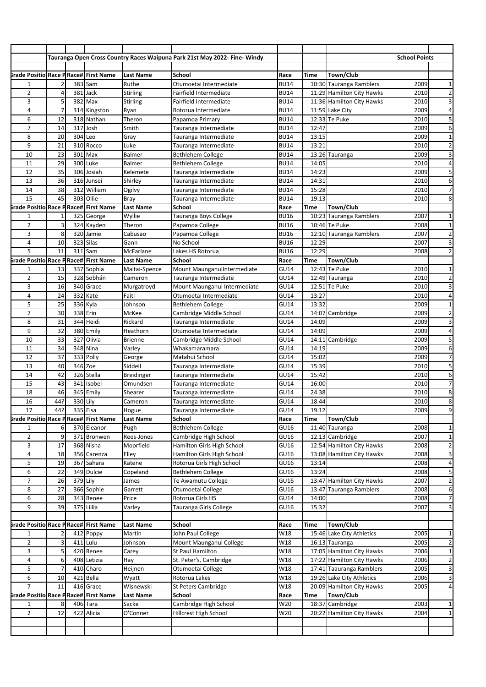|                                              |          |            |                          |                          | Tauranga Open Cross Country Races Waipuna Park 21st May 2022- Fine- Windy |                            |                |                                          | <b>School Points</b> |                                           |
|----------------------------------------------|----------|------------|--------------------------|--------------------------|---------------------------------------------------------------------------|----------------------------|----------------|------------------------------------------|----------------------|-------------------------------------------|
|                                              |          |            |                          |                          |                                                                           |                            |                |                                          |                      |                                           |
| <b>Frade Positio Race P Race# First Name</b> |          |            |                          | Last Name                | School                                                                    | Race                       | Time           | Town/Club                                |                      |                                           |
| 1                                            |          |            | 383 Sam                  | Ruthe                    | Otumoetai Intermediate                                                    | <b>BU14</b>                |                | 10:30 Tauranga Ramblers                  | 2009                 | $\mathbf{1}$                              |
| $\overline{2}$                               | 4        |            | 381 Jack                 | Stirling                 | Fairfield Intermediate                                                    | <b>BU14</b>                |                | 11:29 Hamilton City Hawks                | 2010                 | $\overline{2}$                            |
| 3                                            | 5        |            | 382 Max                  | Stirling                 | Fairfield Intermediate                                                    | <b>BU14</b>                |                | 11:36 Hamilton City Hawks                | 2010                 | $\mathbf{3}$                              |
| $\overline{4}$                               |          | 314        | Kingston                 | Ryan                     | Rotorua Intermediate                                                      | <b>BU14</b>                |                | 11:59 Lake City                          | 2009                 | $\overline{4}$                            |
| 6                                            | 12       |            | 318 Nathan               | Theron                   | Papamoa Primary                                                           | <b>BU14</b>                |                | 12:33 Te Puke                            | 2010                 | 5                                         |
| $\overline{7}$                               | 14       | 317        | Josh                     | Smith                    | Tauranga Intermediate                                                     | <b>BU14</b>                | 12:47          |                                          | 2009                 | 6                                         |
| 8                                            | 20       |            | 304 Leo                  | Gray                     | Tauranga Intermediate                                                     | <b>BU14</b>                | 13:15          |                                          | 2009                 | $1\vert$                                  |
| 9                                            | 21       |            | 310 Rocco                | Luke                     | Tauranga Intermediate                                                     | <b>BU14</b>                | 13:21          |                                          | 2010                 | $\overline{2}$                            |
| 10                                           | 23       | 301        | Max                      | Balmer                   | Bethlehem College                                                         | <b>BU14</b>                |                | 13:26 Tauranga                           | 2009                 | $\mathbf{3}$                              |
| 11                                           | 29       |            | 300 Luke                 | Balmer                   | <b>Bethlehem College</b>                                                  | <b>BU14</b>                | 14:05          |                                          | 2010                 | $\overline{4}$                            |
| 12                                           | 35       |            | 306 Josiah               | Kelemete                 | Tauranga Intermediate                                                     | <b>BU14</b>                | 14:23          |                                          | 2009                 | $\mathbf{5}$                              |
| 13                                           | 36       | 316        | Junsei                   | Shirley                  | Tauranga Intermediate                                                     | <b>BU14</b>                | 14:31          |                                          | 2010                 | 6                                         |
| 14                                           | 38       | 312        | William                  | Ogilvy                   | Tauranga Intermediate                                                     | <b>BU14</b>                | 15:28          |                                          | 2010                 | $\overline{7}$                            |
| 15                                           | 45       | 303        | Ollie                    | Bray                     | Tauranga Intermediate                                                     | <b>BU14</b>                | 19.13          |                                          | 2010                 | 8                                         |
| <b>Frade Positio Race P Race# First Name</b> |          |            |                          | Last Name                | School                                                                    | Race                       | Time           | Town/Club                                |                      |                                           |
| 1                                            |          |            |                          | Wyllie                   | Tauranga Boys College                                                     | <b>BU16</b>                |                |                                          | 2007                 | $1\vert$                                  |
| $\overline{2}$                               | 3        | 325<br>324 | George                   | Theron                   |                                                                           | <b>BU16</b>                |                | 10:23 Tauranga Ramblers<br>10:46 Te Puke | 2008                 | $1\overline{ }$                           |
| 3                                            | 8        |            | Kayden<br>320 Jamie      | Cabusao                  | Papamoa College<br>Papamoa College                                        | <b>BU16</b>                |                | 12:10 Tauranga Ramblers                  | 2007                 | $\overline{2}$                            |
| $\overline{4}$                               |          |            | 323 Silas                |                          |                                                                           |                            |                |                                          |                      |                                           |
| 5                                            | 10<br>11 | 311        | Sam                      | Gann<br>McFarlane        | No School<br>Lakes HS Rotorua                                             | <b>BU16</b><br><b>BU16</b> | 12:29<br>12:29 |                                          | 2007<br>2008         | $\mathsf 3$<br>$\overline{2}$             |
|                                              |          |            |                          |                          | <b>School</b>                                                             |                            |                |                                          |                      |                                           |
| <b>Grade Positio Race P</b><br>$\mathbf{1}$  |          |            | <b>Race# First Name</b>  | <b>Last Name</b>         | Mount MaunganuiIntermediate                                               | Race<br><b>GU14</b>        | Time           | Town/Club<br>12:43 Te Puke               | 2010                 | $\mathbf 1$                               |
| $\overline{2}$                               | 13       |            | 337 Sophia<br>328 Sobhán | Maltai-Spence<br>Cameron | Tauranga Intermediate                                                     |                            |                |                                          | 2010                 |                                           |
| 3                                            | 15       |            |                          |                          |                                                                           | <b>GU14</b>                |                | 12:49 Tauranga                           |                      | $\mathbf{2}$<br>$\ensuremath{\mathsf{3}}$ |
|                                              | 16       |            | 340 Grace                | Murgatroyd               | Mount Maunganui Intermediate                                              | <b>GU14</b>                |                | 12:51 Te Puke                            | 2010                 |                                           |
| $\overline{4}$                               | 24       |            | 332 Kate                 | Faitl                    | Otumoetai Intermediate                                                    | <b>GU14</b>                | 13:27          |                                          | 2010                 | $\overline{4}$                            |
| 5                                            | 25       |            | 336 Kyla                 | Johnson                  | <b>Bethlehem College</b>                                                  | <b>GU14</b>                | 13:32          |                                          | 2009                 | $1\vert$                                  |
| $\overline{7}$                               | 30       |            | 338 Erin                 | McKee                    | Cambridge Middle School                                                   | <b>GU14</b>                |                | 14:07 Cambridge                          | 2009                 | $\overline{2}$                            |
| 8                                            | 31       |            | 344 Heidi                | Rickard                  | Tauranga Intermediate                                                     | <b>GU14</b>                | 14:09          |                                          | 2009                 | $\overline{\mathbf{3}}$                   |
| 9                                            | 32       |            | 380 Emily                | Heathorn                 | Otumoetai Intermediate                                                    | <b>GU14</b>                | 14:09          |                                          | 2009                 | $\overline{4}$                            |
| 10                                           | 33       | 327        | Olivia                   | <b>Brienne</b>           | Cambridge Middle School                                                   | <b>GU14</b>                |                | 14:11 Cambridge                          | 2009                 | 5                                         |
| 11                                           | 34       | 348        | Nina                     | Varley                   | Whakamaramara                                                             | <b>GU14</b>                | 14:19          |                                          | 2009                 | 6                                         |
| 12                                           | 37       | 333        | Polly                    | George                   | Matahui School                                                            | <b>GU14</b>                | 15:02          |                                          | 2009                 | $\overline{7}$                            |
| 13                                           | 40       |            | 346 Zoe                  | Siddell                  | Tauranga Intermediate                                                     | <b>GU14</b>                | 15:39          |                                          | 2010                 | $\overline{\mathbf{5}}$                   |
| 14                                           | 42       |            | 326 Stella               | <b>Breidinger</b>        | Tauranga Intermediate                                                     | <b>GU14</b>                | 15:42          |                                          | 2010                 | 6                                         |
| 15                                           | 43       | 341        | Isobel                   | Omundsen                 | Tauranga Intermediate                                                     | <b>GU14</b>                | 16:00          |                                          | 2010                 | $\overline{7}$                            |
| 18                                           | 46       | 345        | Emily                    | Shearer                  | Tauranga Intermediate                                                     | <b>GU14</b>                | 24.38          |                                          | 2010                 | 8                                         |
| 16                                           | 44?      | 330 Lily   |                          | Cameron                  | Tauranga Intermediate                                                     | <b>GU14</b>                | 18.44          |                                          | 2010                 | $\boldsymbol{8}$                          |
| 17                                           | 44?      |            | 335 Elsa                 | Hogue                    | Tauranga Intermediate                                                     | GU14                       | 19.12          |                                          | 2009                 | $\vert 9 \vert$                           |
| <b>Brade Positio Race P Race# First Name</b> |          |            |                          | <b>Last Name</b>         | School                                                                    | Race                       | Time           | Town/Club                                |                      |                                           |
| 1                                            | 6        |            | 370 Eleanor              | Pugh                     | <b>Bethlehem College</b>                                                  | GU16                       |                | 11:40 Tauranga                           | 2008                 | $1\overline{ }$                           |
| $\overline{2}$                               | 9        |            | 371 Bronwen              | Rees-Jones               | Cambridge High School                                                     | GU16                       |                | 12:13 Cambridge                          | 2007                 | $1\overline{ }$                           |
| 3                                            | 17       |            | 368 Nisha                | Moorfield                | Hamilton Girls High School                                                | GU16                       |                | 12:54 Hamilton City Hawks                | 2008                 | $\mathbf{2}$                              |
| 4                                            | 18       |            | 356 Carenza              | Elley                    | Hamilton Girls High School                                                | GU16                       |                | 13:08 Hamilton City Hawks                | 2008                 | $\mathbf{3}$                              |
| 5                                            | 19       | 367        | Sahara                   | Katene                   | Rotorua Girls High School                                                 | GU16                       | 13:14          |                                          | 2008                 | $\vert 4 \vert$                           |
| 6                                            | 22       |            | 349 Dulcie               | Copeland                 | Bethlehem College                                                         | GU16                       | 13:24          |                                          | 2008                 | 5 <sup>1</sup>                            |
| $\overline{7}$                               | 26       | 379 Lily   |                          | James                    | Te Awamutu College                                                        | GU16                       |                | 13:47 Hamilton City Hawks                | 2007                 | $\mathbf{2}$                              |
| 8                                            | 27       |            | 366 Sophie               | Garrett                  | Otumoetai College                                                         | GU16                       | 13:47          | <b>Tauranga Ramblers</b>                 | 2008                 | 6                                         |
| 6                                            | 28       | 343        | Renee                    | Price                    | Rotorua Girls HS                                                          | GU14                       | 14:00          |                                          | 2008                 | 7                                         |
| 9                                            | 39       |            | 375 Lillia               | Varley                   | Tauranga Girls College                                                    | GU16                       | 15:32          |                                          | 2007                 | $\overline{3}$                            |
|                                              |          |            |                          |                          |                                                                           |                            |                |                                          |                      |                                           |
| <b>Frade Positio Race P Race# First Name</b> |          |            |                          | Last Name                | School                                                                    | Race                       | Time           | Town/Club                                |                      |                                           |
| 1                                            |          | 412        | Poppy                    | Martin                   | John Paul College                                                         | W18                        |                | 15:46 Lake City Athletics                | 2005                 | $1\vert$                                  |
| $\overline{2}$                               | 3        |            | 411 Lulu                 | Johnson                  | Mount Maunganui College                                                   | W18                        |                | 16:13 Tauranga                           | 2005                 | $\overline{2}$                            |
| 3                                            | 5        |            | 420 Renee                | Carey                    | St Paul Hamilton                                                          | W18                        |                | 17:05 Hamilton City Hawks                | 2006                 | $1\vert$                                  |
| 4                                            | 6        |            | 408 Letizia              | Hay                      | St. Peter's, Cambridge                                                    | W18                        |                | 17:22 Hamilton City Hawks                | 2006                 | $\overline{2}$                            |
| 5                                            | 7        |            | 410 Charo                | Heijnen                  | Otumoetai College                                                         | W18                        |                | 17:41 Taauranga Ramblers                 | 2005                 | $\mathbf{3}$                              |
| 6                                            | 10       | 421        | Bella                    | Wyatt                    | Rotorua Lakes                                                             | W18                        |                | 19:26 Lake City Athletics                | 2006                 | $\overline{3}$                            |
| $\overline{7}$                               | 11       |            | 416 Grace                | Wisnewski                | <b>St Peters Cambridge</b>                                                | W18                        |                | 20:09 Hamilton City Hawks                | 2005                 | $\vert 4 \vert$                           |
| <b>Srade Positio Race P Race# First Name</b> |          |            |                          | Last Name                | School                                                                    | Race                       | Time           | Town/Club                                |                      |                                           |
| 1                                            | 8        |            | 406 Tara                 | Sacke                    | Cambridge High School                                                     | W20                        |                | 18:37 Cambridge                          | 2003                 | $1\overline{ }$                           |
| $\overline{2}$                               | 12       | 422        | Alicia                   | O'Conner                 | Hillcrest High School                                                     | W20                        |                | 20:22 Hamilton City Hawks                | 2004                 | 1                                         |
|                                              |          |            |                          |                          |                                                                           |                            |                |                                          |                      |                                           |
|                                              |          |            |                          |                          |                                                                           |                            |                |                                          |                      |                                           |